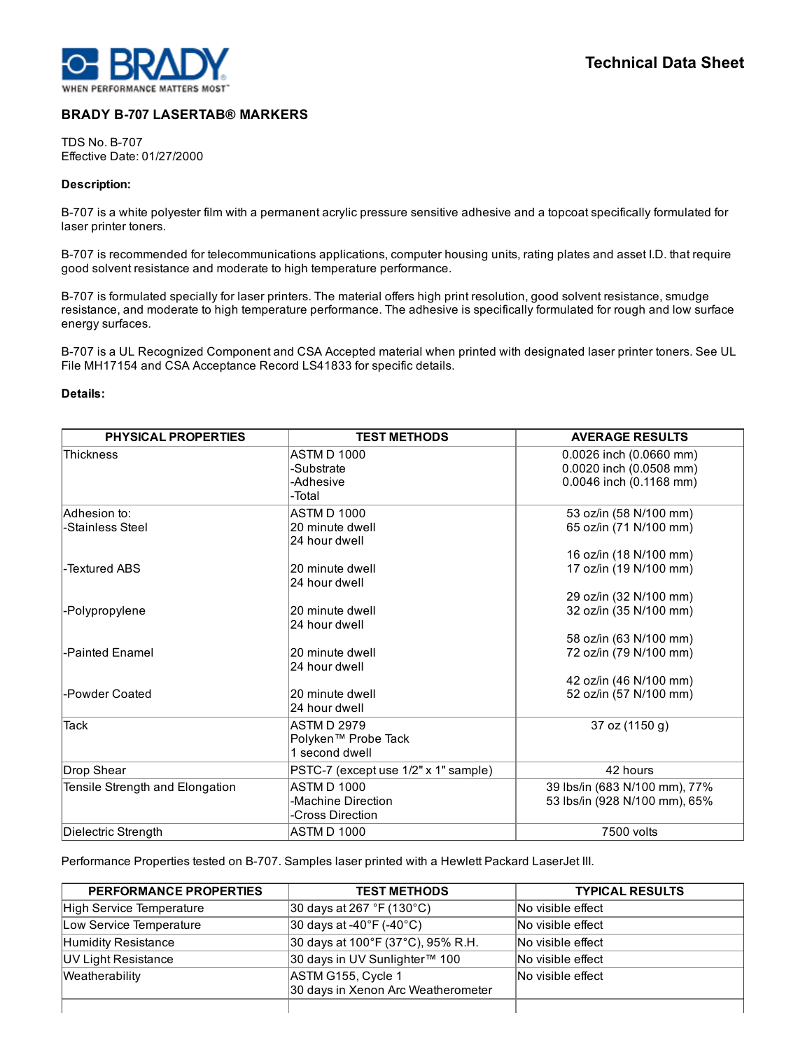

# BRADY B-707 LASERTAB® MARKERS

TDS No. B-707 Effective Date: 01/27/2000

## Description:

B-707 is a white polyester film with a permanent acrylic pressure sensitive adhesive and a topcoat specifically formulated for laser printer toners.

B-707 is recommended for telecommunications applications, computer housing units, rating plates and asset I.D. that require good solvent resistance and moderate to high temperature performance.

B-707 is formulated specially for laser printers. The material offers high print resolution, good solvent resistance, smudge resistance, and moderate to high temperature performance. The adhesive is specifically formulated for rough and low surface energy surfaces.

B-707 is a UL Recognized Component and CSA Accepted material when printed with designated laser printer toners. See UL File MH17154 and CSA Acceptance Record LS41833 for specific details.

## Details:

| <b>PHYSICAL PROPERTIES</b>      | <b>TEST METHODS</b>                  | <b>AVERAGE RESULTS</b>        |
|---------------------------------|--------------------------------------|-------------------------------|
| <b>Thickness</b>                | ASTM D 1000                          | 0.0026 inch (0.0660 mm)       |
|                                 | -Substrate                           | 0.0020 inch (0.0508 mm)       |
|                                 | -Adhesive                            | 0.0046 inch (0.1168 mm)       |
|                                 | -Total                               |                               |
| lAdhesion to∶                   | ASTM D 1000                          | 53 oz/in (58 N/100 mm)        |
| -Stainless Steel                | 20 minute dwell                      | 65 oz/in (71 N/100 mm)        |
|                                 | 24 hour dwell                        |                               |
|                                 |                                      | 16 oz/in (18 N/100 mm)        |
| -Textured ABS                   | 20 minute dwell                      | 17 oz/in (19 N/100 mm)        |
|                                 | 24 hour dwell                        |                               |
|                                 |                                      | 29 oz/in (32 N/100 mm)        |
| -Polypropylene                  | 20 minute dwell                      | 32 oz/in (35 N/100 mm)        |
|                                 | 24 hour dwell                        |                               |
|                                 |                                      | 58 oz/in (63 N/100 mm)        |
| l-Painted Enamel                | 20 minute dwell                      | 72 oz/in (79 N/100 mm)        |
|                                 | 24 hour dwell                        |                               |
|                                 |                                      | 42 oz/in (46 N/100 mm)        |
| -Powder Coated                  | 20 minute dwell                      | 52 oz/in (57 N/100 mm)        |
|                                 | 24 hour dwell                        |                               |
| Tack                            | <b>ASTMD 2979</b>                    | 37 oz (1150 g)                |
|                                 | Polyken™ Probe Tack                  |                               |
|                                 | 1 second dwell                       |                               |
| Drop Shear                      | PSTC-7 (except use 1/2" x 1" sample) | 42 hours                      |
| Tensile Strength and Elongation | ASTM D 1000                          | 39 lbs/in (683 N/100 mm), 77% |
|                                 | -Machine Direction                   | 53 lbs/in (928 N/100 mm), 65% |
|                                 | -Cross Direction                     |                               |
| Dielectric Strength             | <b>ASTM D 1000</b>                   | 7500 volts                    |

Performance Properties tested on B-707. Samples laser printed with a Hewlett Packard LaserJet III.

| PERFORMANCE PROPERTIES   | <b>TEST METHODS</b>                                      | <b>TYPICAL RESULTS</b> |
|--------------------------|----------------------------------------------------------|------------------------|
| High Service Temperature | $ 30 \text{ days}$ at 267 °F (130 °C)                    | No visible effect      |
| Low Service Temperature  | $ 30 \text{ days}$ at -40°F (-40°C)                      | No visible effect      |
| Humidity Resistance      | 30 days at 100°F (37°C), 95% R.H.                        | No visible effect      |
| UV Light Resistance      | 30 days in UV Sunlighter™ 100                            | No visible effect      |
| Weatherability           | ASTM G155, Cycle 1<br>30 days in Xenon Arc Weatherometer | No visible effect      |
|                          |                                                          |                        |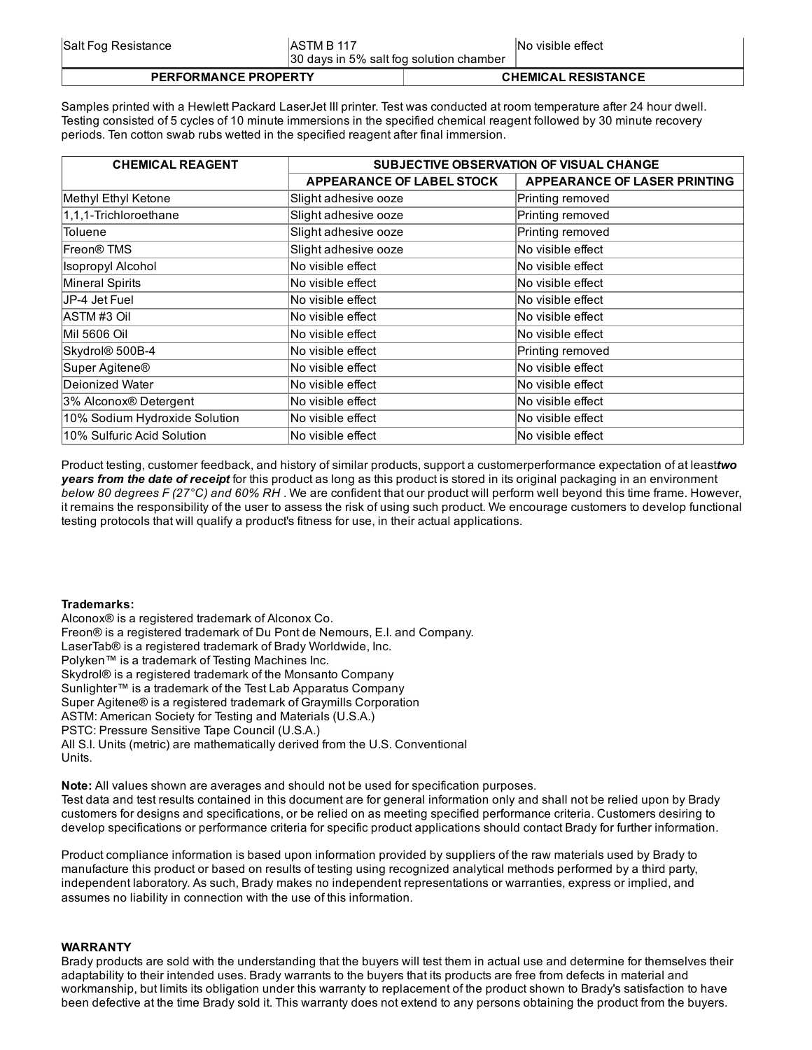| <b>PERFORMANCE PROPERTY</b> |                                         | <b>CHEMICAL RESISTANCE</b> |                    |
|-----------------------------|-----------------------------------------|----------------------------|--------------------|
|                             | 30 days in 5% salt fog solution chamber |                            |                    |
| Salt Fog Resistance         | IASTM B 117                             |                            | INo visible effect |

Samples printed with a Hewlett Packard LaserJet III printer. Test was conducted at room temperature after 24 hour dwell. Testing consisted of 5 cycles of 10 minute immersions in the specified chemical reagent followed by 30 minute recovery periods. Ten cotton swab rubs wetted in the specified reagent after final immersion.

| <b>CHEMICAL REAGENT</b>       | SUBJECTIVE OBSERVATION OF VISUAL CHANGE |                              |  |
|-------------------------------|-----------------------------------------|------------------------------|--|
|                               | <b>APPEARANCE OF LABEL STOCK</b>        | APPEARANCE OF LASER PRINTING |  |
| Methyl Ethyl Ketone           | Slight adhesive ooze                    | Printing removed             |  |
| 1,1,1-Trichloroethane         | Slight adhesive ooze                    | Printing removed             |  |
| <b>Toluene</b>                | Slight adhesive ooze                    | Printing removed             |  |
| Freon <sup>®</sup> TMS        | Slight adhesive ooze                    | No visible effect            |  |
| <b>Isopropyl Alcohol</b>      | No visible effect                       | No visible effect            |  |
| Mineral Spirits               | No visible effect                       | No visible effect            |  |
| JP-4 Jet Fuel                 | No visible effect                       | No visible effect            |  |
| IASTM#3 Oil                   | No visible effect                       | lNo visible effect           |  |
| <b>Mil 5606 Oil</b>           | No visible effect                       | No visible effect            |  |
| Skydrol <sup>®</sup> 500B-4   | No visible effect                       | Printing removed             |  |
| Super Agitene <sup>®</sup>    | lNo visible effect                      | No visible effect            |  |
| Deionized Water               | No visible effect                       | No visible effect            |  |
| 3% Alconox® Detergent         | No visible effect                       | No visible effect            |  |
| 10% Sodium Hydroxide Solution | No visible effect                       | No visible effect            |  |
| 10% Sulfuric Acid Solution    | No visible effect                       | No visible effect            |  |

Product testing, customer feedback, and history of similar products, support a customerperformance expectation of at least*two years from the date of receipt* for this product as long as this product is stored in its original packaging in an environment *below 80 degrees F (27°C) and 60% RH* . We are confident that our product will perform well beyond this time frame. However, it remains the responsibility of the user to assess the risk of using such product. We encourage customers to develop functional testing protocols that will qualify a product's fitness for use, in their actual applications.

## Trademarks:

Alconox® is a registered trademark of Alconox Co. Freon® is a registered trademark of Du Pont de Nemours, E.I. and Company. LaserTab® is a registered trademark of Brady Worldwide, Inc. Polyken™ is a trademark of Testing Machines Inc. Skydrol® is a registered trademark of the Monsanto Company Sunlighter™ is a trademark of the Test Lab Apparatus Company Super Agitene® is a registered trademark of Graymills Corporation ASTM: American Society for Testing and Materials (U.S.A.) PSTC: Pressure Sensitive Tape Council (U.S.A.) All S.I. Units (metric) are mathematically derived from the U.S. Conventional Units.

Note: All values shown are averages and should not be used for specification purposes. Test data and test results contained in this document are for general information only and shall not be relied upon by Brady customers for designs and specifications, or be relied on as meeting specified performance criteria. Customers desiring to develop specifications or performance criteria for specific product applications should contact Brady for further information.

Product compliance information is based upon information provided by suppliers of the raw materials used by Brady to manufacture this product or based on results of testing using recognized analytical methods performed by a third party, independent laboratory. As such, Brady makes no independent representations or warranties, express or implied, and assumes no liability in connection with the use of this information.

# WARRANTY

Brady products are sold with the understanding that the buyers will test them in actual use and determine for themselves their adaptability to their intended uses. Brady warrants to the buyers that its products are free from defects in material and workmanship, but limits its obligation under this warranty to replacement of the product shown to Brady's satisfaction to have been defective at the time Brady sold it. This warranty does not extend to any persons obtaining the product from the buyers.